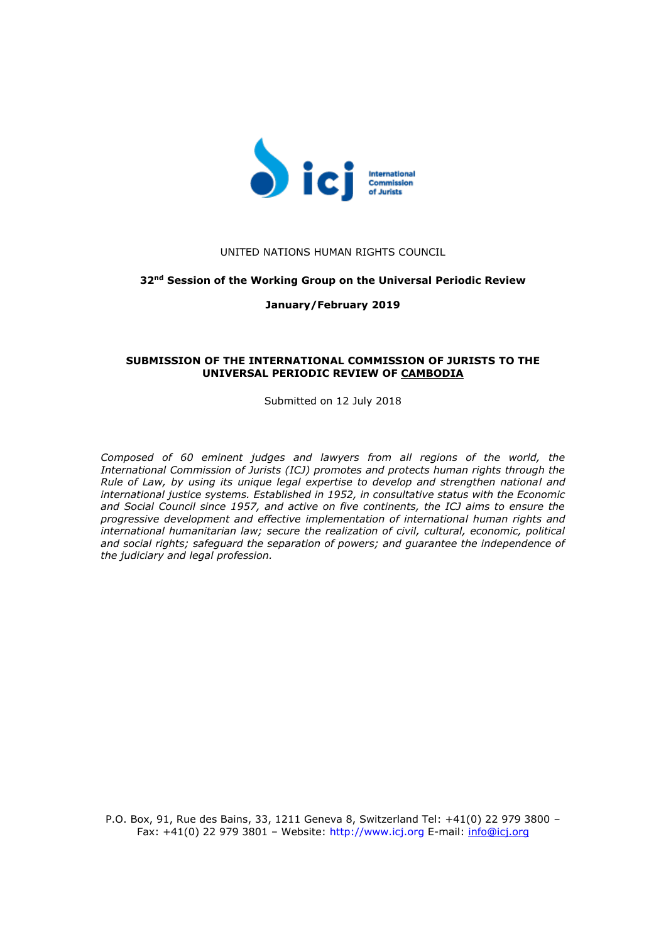

# UNITED NATIONS HUMAN RIGHTS COUNCIL

## **32nd Session of the Working Group on the Universal Periodic Review**

## **January/February 2019**

## **SUBMISSION OF THE INTERNATIONAL COMMISSION OF JURISTS TO THE UNIVERSAL PERIODIC REVIEW OF CAMBODIA**

Submitted on 12 July 2018

*Composed of 60 eminent judges and lawyers from all regions of the world, the International Commission of Jurists (ICJ) promotes and protects human rights through the Rule of Law, by using its unique legal expertise to develop and strengthen national and international justice systems. Established in 1952, in consultative status with the Economic and Social Council since 1957, and active on five continents, the ICJ aims to ensure the progressive development and effective implementation of international human rights and international humanitarian law; secure the realization of civil, cultural, economic, political and social rights; safeguard the separation of powers; and guarantee the independence of the judiciary and legal profession.*

P.O. Box, 91, Rue des Bains, 33, 1211 Geneva 8, Switzerland Tel: +41(0) 22 979 3800 – Fax: +41(0) 22 979 3801 – Website: http://www.icj.org E-mail: [info@icj.org](mailto:info@icj.org)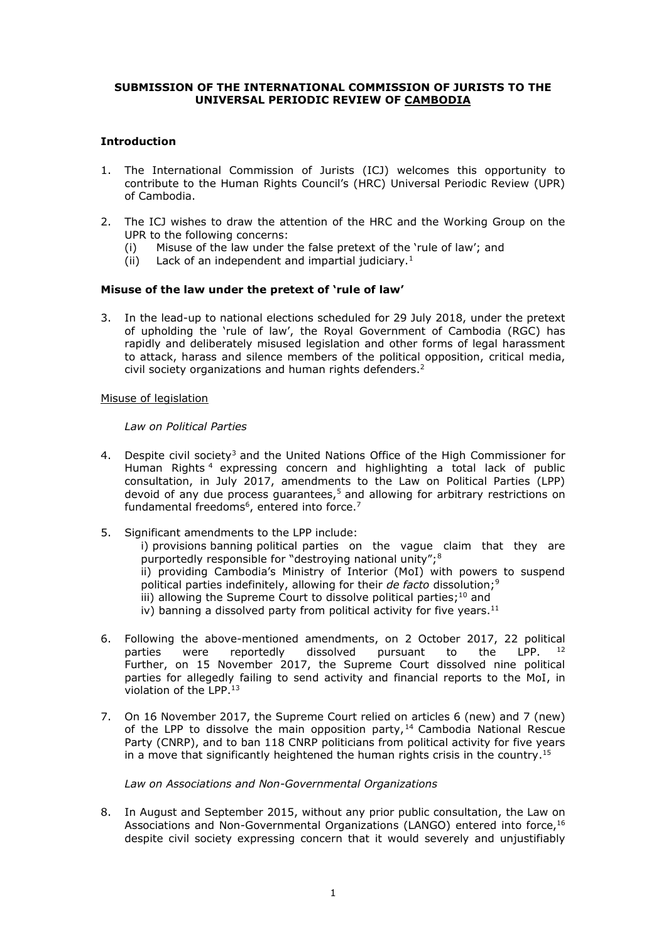# **SUBMISSION OF THE INTERNATIONAL COMMISSION OF JURISTS TO THE UNIVERSAL PERIODIC REVIEW OF CAMBODIA**

# **Introduction**

- 1. The International Commission of Jurists (ICJ) welcomes this opportunity to contribute to the Human Rights Council's (HRC) Universal Periodic Review (UPR) of Cambodia.
- 2. The ICJ wishes to draw the attention of the HRC and the Working Group on the UPR to the following concerns:
	- (i) Misuse of the law under the false pretext of the 'rule of law'; and
	- (ii) Lack of an independent and impartial judiciary.<sup>1</sup>

# **Misuse of the law under the pretext of 'rule of law'**

3. In the lead-up to national elections scheduled for 29 July 2018, under the pretext of upholding the 'rule of law', the Royal Government of Cambodia (RGC) has rapidly and deliberately misused legislation and other forms of legal harassment to attack, harass and silence members of the political opposition, critical media, civil society organizations and human rights defenders.<sup>2</sup>

## Misuse of legislation

## *Law on Political Parties*

- 4. Despite civil society<sup>3</sup> and the United Nations Office of the High Commissioner for Human Rights <sup>4</sup> expressing concern and highlighting a total lack of public consultation, in July 2017, amendments to the Law on Political Parties (LPP) devoid of any due process guarantees, $5$  and allowing for arbitrary restrictions on fundamental freedoms<sup>6</sup>, entered into force.<sup>7</sup>
- 5. Significant amendments to the LPP include:

i) provisions banning political parties on the vague claim that they are purportedly responsible for "destroying national unity";<sup>8</sup>

ii) providing Cambodia's Ministry of Interior (MoI) with powers to suspend political parties indefinitely, allowing for their *de facto* dissolution;<sup>9</sup>

iii) allowing the Supreme Court to dissolve political parties; $^{10}$  and

iv) banning a dissolved party from political activity for five years.<sup>11</sup>

- 6. Following the above-mentioned amendments, on 2 October 2017, 22 political parties were reportedly dissolved pursuant to the LPP. <sup>12</sup> Further, on 15 November 2017, the Supreme Court dissolved nine political parties for allegedly failing to send activity and financial reports to the MoI, in violation of the LPP.<sup>13</sup>
- 7. On 16 November 2017, the Supreme Court relied on articles 6 (new) and 7 (new) of the LPP to dissolve the main opposition party,  $14$  Cambodia National Rescue Party (CNRP), and to ban 118 CNRP politicians from political activity for five years in a move that significantly heightened the human rights crisis in the country.<sup>15</sup>

*Law on Associations and Non-Governmental Organizations*

8. In August and September 2015, without any prior public consultation, the Law on Associations and Non-Governmental Organizations (LANGO) entered into force,<sup>16</sup> despite civil society expressing concern that it would severely and unjustifiably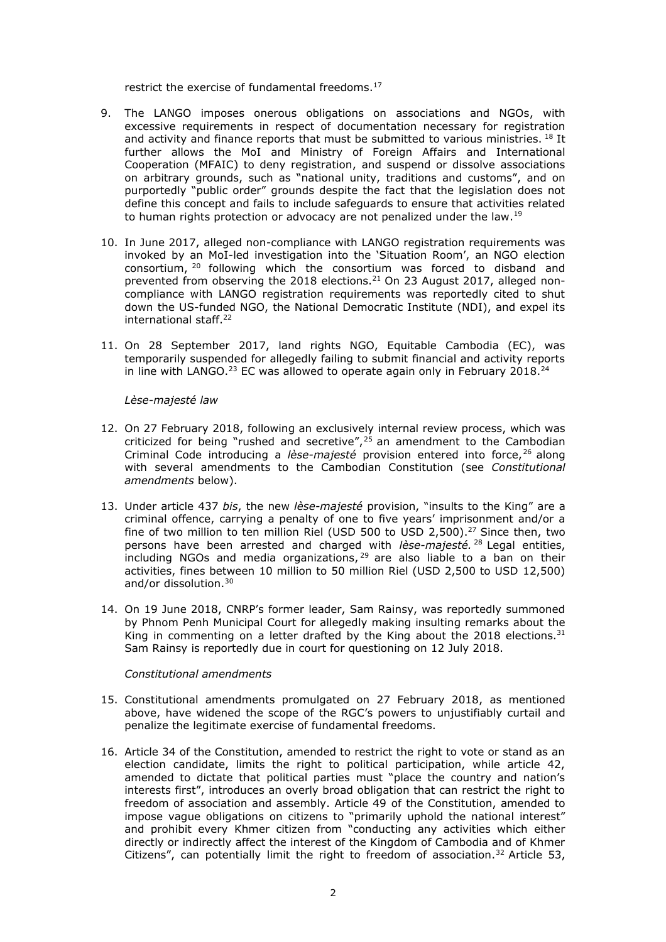restrict the exercise of fundamental freedoms. 17

- 9. The LANGO imposes onerous obligations on associations and NGOs, with excessive requirements in respect of documentation necessary for registration and activity and finance reports that must be submitted to various ministries. <sup>18</sup> It further allows the MoI and Ministry of Foreign Affairs and International Cooperation (MFAIC) to deny registration, and suspend or dissolve associations on arbitrary grounds, such as "national unity, traditions and customs", and on purportedly "public order" grounds despite the fact that the legislation does not define this concept and fails to include safeguards to ensure that activities related to human rights protection or advocacy are not penalized under the law.<sup>19</sup>
- 10. In June 2017, alleged non-compliance with LANGO registration requirements was invoked by an MoI-led investigation into the 'Situation Room', an NGO election consortium, <sup>20</sup> following which the consortium was forced to disband and prevented from observing the 2018 elections.<sup>21</sup> On 23 August 2017, alleged noncompliance with LANGO registration requirements was reportedly cited to shut down the US-funded NGO, the National Democratic Institute (NDI), and expel its international staff.<sup>22</sup>
- 11. On 28 September 2017, land rights NGO, Equitable Cambodia (EC), was temporarily suspended for allegedly failing to submit financial and activity reports in line with LANGO.<sup>23</sup> EC was allowed to operate again only in February 2018.<sup>24</sup>

*Lèse-majesté law* 

- 12. On 27 February 2018, following an exclusively internal review process, which was criticized for being "rushed and secretive",  $25$  an amendment to the Cambodian Criminal Code introducing a *lèse-majesté* provision entered into force, <sup>26</sup> along with several amendments to the Cambodian Constitution (see *Constitutional amendments* below).
- 13. Under article 437 *bis*, the new *lèse-majesté* provision, "insults to the King" are a criminal offence, carrying a penalty of one to five years' imprisonment and/or a fine of two million to ten million Riel (USD 500 to USD 2,500).<sup>27</sup> Since then, two persons have been arrested and charged with *lèse-majesté.* <sup>28</sup> Legal entities, including NGOs and media organizations,<sup>29</sup> are also liable to a ban on their activities, fines between 10 million to 50 million Riel (USD 2,500 to USD 12,500) and/or dissolution.<sup>30</sup>
- 14. On 19 June 2018, CNRP's former leader, Sam Rainsy, was reportedly summoned by Phnom Penh Municipal Court for allegedly making insulting remarks about the King in commenting on a letter drafted by the King about the 2018 elections.<sup>31</sup> Sam Rainsy is reportedly due in court for questioning on 12 July 2018.

## *Constitutional amendments*

- 15. Constitutional amendments promulgated on 27 February 2018, as mentioned above, have widened the scope of the RGC's powers to unjustifiably curtail and penalize the legitimate exercise of fundamental freedoms.
- 16. Article 34 of the Constitution, amended to restrict the right to vote or stand as an election candidate, limits the right to political participation, while article 42, amended to dictate that political parties must "place the country and nation's interests first", introduces an overly broad obligation that can restrict the right to freedom of association and assembly. Article 49 of the Constitution, amended to impose vague obligations on citizens to "primarily uphold the national interest" and prohibit every Khmer citizen from "conducting any activities which either directly or indirectly affect the interest of the Kingdom of Cambodia and of Khmer Citizens", can potentially limit the right to freedom of association.<sup>32</sup> Article 53,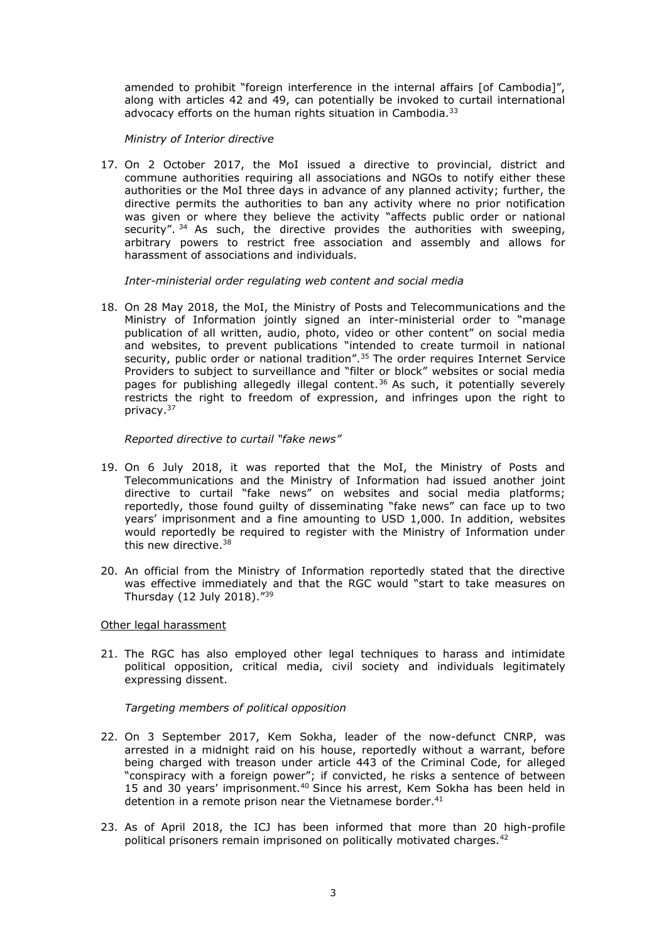amended to prohibit "foreign interference in the internal affairs [of Cambodia]", along with articles 42 and 49, can potentially be invoked to curtail international advocacy efforts on the human rights situation in Cambodia.<sup>33</sup>

*Ministry of Interior directive*

17. On 2 October 2017, the MoI issued a directive to provincial, district and commune authorities requiring all associations and NGOs to notify either these authorities or the MoI three days in advance of any planned activity; further, the directive permits the authorities to ban any activity where no prior notification was given or where they believe the activity "affects public order or national security". <sup>34</sup> As such, the directive provides the authorities with sweeping, arbitrary powers to restrict free association and assembly and allows for harassment of associations and individuals.

*Inter-ministerial order regulating web content and social media*

18. On 28 May 2018, the MoI, the Ministry of Posts and Telecommunications and the Ministry of Information jointly signed an inter-ministerial order to "manage publication of all written, audio, photo, video or other content" on social media and websites, to prevent publications "intended to create turmoil in national security, public order or national tradition".<sup>35</sup> The order requires Internet Service Providers to subject to surveillance and "filter or block" websites or social media pages for publishing allegedly illegal content. <sup>36</sup> As such, it potentially severely restricts the right to freedom of expression, and infringes upon the right to privacy.<sup>37</sup>

*Reported directive to curtail "fake news"*

- 19. On 6 July 2018, it was reported that the MoI, the Ministry of Posts and Telecommunications and the Ministry of Information had issued another joint directive to curtail "fake news" on websites and social media platforms; reportedly, those found guilty of disseminating "fake news" can face up to two years' imprisonment and a fine amounting to USD 1,000. In addition, websites would reportedly be required to register with the Ministry of Information under this new directive. 38
- 20. An official from the Ministry of Information reportedly stated that the directive was effective immediately and that the RGC would "start to take measures on Thursday (12 July 2018)."<sup>39</sup>

# Other legal harassment

21. The RGC has also employed other legal techniques to harass and intimidate political opposition, critical media, civil society and individuals legitimately expressing dissent.

*Targeting members of political opposition*

- 22. On 3 September 2017, Kem Sokha, leader of the now-defunct CNRP, was arrested in a midnight raid on his house, reportedly without a warrant, before being charged with treason under article 443 of the Criminal Code, for alleged "conspiracy with a foreign power"; if convicted, he risks a sentence of between 15 and 30 years' imprisonment.<sup>40</sup> Since his arrest, Kem Sokha has been held in detention in a remote prison near the Vietnamese border.<sup>41</sup>
- 23. As of April 2018, the ICJ has been informed that more than 20 high-profile political prisoners remain imprisoned on politically motivated charges.<sup>42</sup>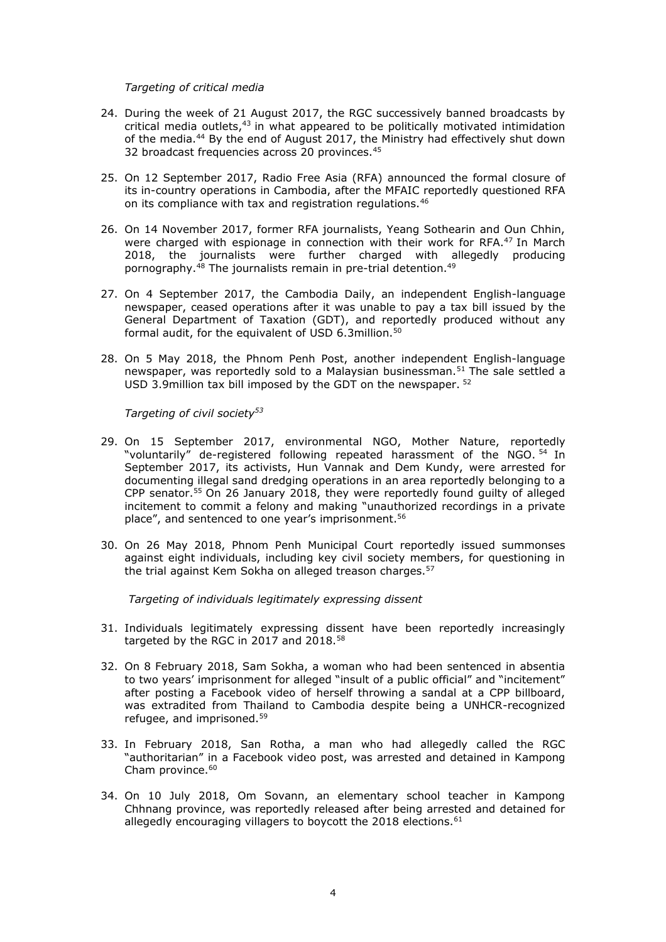#### *Targeting of critical media*

- 24. During the week of 21 August 2017, the RGC successively banned broadcasts by critical media outlets,<sup>43</sup> in what appeared to be politically motivated intimidation of the media.<sup>44</sup> By the end of August 2017, the Ministry had effectively shut down 32 broadcast frequencies across 20 provinces.<sup>45</sup>
- 25. On 12 September 2017, Radio Free Asia (RFA) announced the formal closure of its in-country operations in Cambodia, after the MFAIC reportedly questioned RFA on its compliance with tax and registration regulations.<sup>46</sup>
- 26. On 14 November 2017, former RFA journalists, Yeang Sothearin and Oun Chhin, were charged with espionage in connection with their work for RFA.<sup>47</sup> In March 2018, the journalists were further charged with allegedly producing pornography.<sup>48</sup> The journalists remain in pre-trial detention.<sup>49</sup>
- 27. On 4 September 2017, the Cambodia Daily, an independent English-language newspaper, ceased operations after it was unable to pay a tax bill issued by the General Department of Taxation (GDT), and reportedly produced without any formal audit, for the equivalent of USD 6.3million.<sup>50</sup>
- 28. On 5 May 2018, the Phnom Penh Post, another independent English-language newspaper, was reportedly sold to a Malaysian businessman.<sup>51</sup> The sale settled a USD 3.9million tax bill imposed by the GDT on the newspaper. <sup>52</sup>

*Targeting of civil society<sup>53</sup>*

- 29. On 15 September 2017, environmental NGO, Mother Nature, reportedly "voluntarily" de-registered following repeated harassment of the NGO. <sup>54</sup> In September 2017, its activists, Hun Vannak and Dem Kundy, were arrested for documenting illegal sand dredging operations in an area reportedly belonging to a CPP senator.<sup>55</sup> On 26 January 2018, they were reportedly found guilty of alleged incitement to commit a felony and making "unauthorized recordings in a private place", and sentenced to one year's imprisonment.<sup>56</sup>
- 30. On 26 May 2018, Phnom Penh Municipal Court reportedly issued summonses against eight individuals, including key civil society members, for questioning in the trial against Kem Sokha on alleged treason charges.<sup>57</sup>

*Targeting of individuals legitimately expressing dissent*

- 31. Individuals legitimately expressing dissent have been reportedly increasingly targeted by the RGC in 2017 and 2018.<sup>58</sup>
- 32. On 8 February 2018, Sam Sokha, a woman who had been sentenced in absentia to two years' imprisonment for alleged "insult of a public official" and "incitement" after posting a Facebook video of herself throwing a sandal at a CPP billboard, was extradited from Thailand to Cambodia despite being a UNHCR-recognized refugee, and imprisoned.<sup>59</sup>
- 33. In February 2018, San Rotha, a man who had allegedly called the RGC "authoritarian" in a Facebook video post, was arrested and detained in Kampong Cham province.<sup>60</sup>
- 34. On 10 July 2018, Om Sovann, an elementary school teacher in Kampong Chhnang province, was reportedly released after being arrested and detained for allegedly encouraging villagers to boycott the 2018 elections.<sup>61</sup>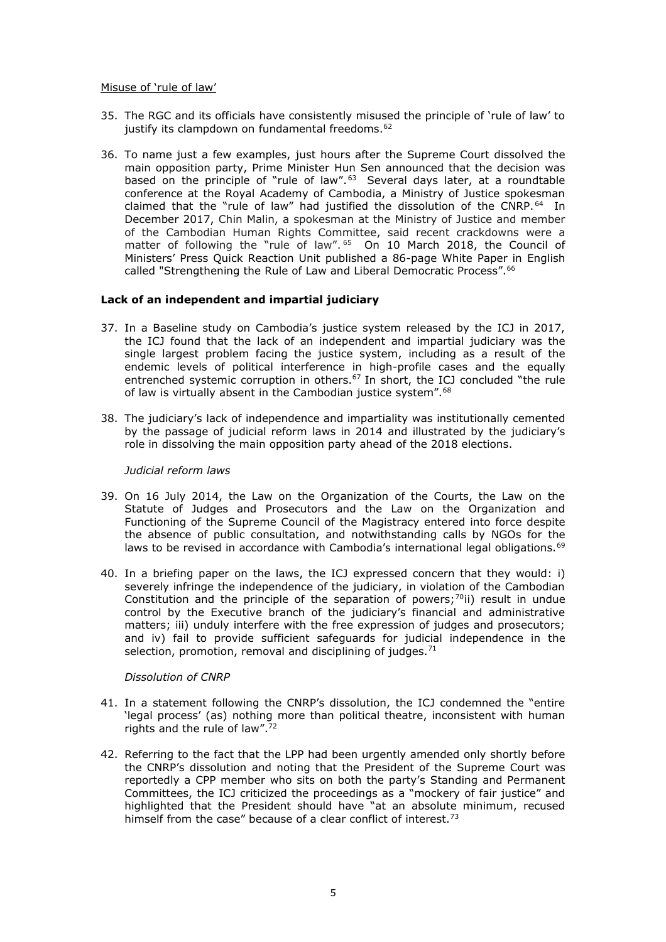#### Misuse of 'rule of law'

- 35. The RGC and its officials have consistently misused the principle of 'rule of law' to justify its clampdown on fundamental freedoms.<sup>62</sup>
- 36. To name just a few examples, just hours after the Supreme Court [dissolved the](https://www.icj.org/cambodia-the-icj-condemns-dissolution-of-main-opposition-party/)  [main opposition party,](https://www.icj.org/cambodia-the-icj-condemns-dissolution-of-main-opposition-party/) Prime Minister Hun Sen announced that the decision was based on the principle of "rule of law".<sup>63</sup> Several days later, at a roundtable conference at the Royal Academy of Cambodia, a Ministry of Justice spokesman claimed that the "rule of law" had justified the dissolution of the CNRP.<sup>64</sup> In December 2017, Chin Malin, a spokesman at the Ministry of Justice and member of the Cambodian Human Rights Committee, said recent crackdowns were a matter of following the "rule of law". <sup>65</sup> On 10 March 2018, the Council of Ministers' Press Quick Reaction Unit published a 86-page White Paper in English called "Strengthening the Rule of Law and Liberal Democratic Process".<sup>66</sup>

## **Lack of an independent and impartial judiciary**

- 37. In a Baseline study on Cambodia's justice system released by the ICJ in 2017, the ICJ found that the lack of an independent and impartial judiciary was the single largest problem facing the justice system, including as a result of the endemic levels of political interference in high-profile cases and the equally entrenched systemic corruption in others.<sup>67</sup> In short, the ICJ concluded "the rule of law is virtually absent in the Cambodian justice system".<sup>68</sup>
- 38. The judiciary's lack of independence and impartiality was institutionally cemented by the passage of judicial reform laws in 2014 and illustrated by the judiciary's role in dissolving the main opposition party ahead of the 2018 elections.

#### *Judicial reform laws*

- 39. On 16 July 2014, the Law on the Organization of the Courts, the Law on the Statute of Judges and Prosecutors and the Law on the Organization and Functioning of the Supreme Council of the Magistracy entered into force despite the absence of public consultation, and notwithstanding calls by NGOs for the laws to be revised in accordance with Cambodia's international legal obligations.<sup>69</sup>
- 40. In a briefing paper on the laws, the ICJ expressed concern that they would: i) severely infringe the independence of the judiciary, in violation of the Cambodian Constitution and the principle of the separation of powers;<sup>70</sup>ii) result in undue control by the Executive branch of the judiciary's financial and administrative matters; iii) unduly interfere with the free expression of judges and prosecutors; and iv) fail to provide sufficient safeguards for judicial independence in the selection, promotion, removal and disciplining of judges.<sup>71</sup>

## *Dissolution of CNRP*

- 41. In a statement following the CNRP's dissolution, the ICJ condemned the "entire 'legal process' (as) nothing more than political theatre, inconsistent with human rights and the rule of law".<sup>72</sup>
- 42. Referring to the fact that the LPP had been urgently amended only shortly before the CNRP's dissolution and noting that the President of the Supreme Court was reportedly a CPP member who sits on both the party's Standing and Permanent Committees, the ICJ criticized the proceedings as a "mockery of fair justice" and highlighted that the President should have "at an absolute minimum, recused himself from the case" because of a clear conflict of interest.<sup>73</sup>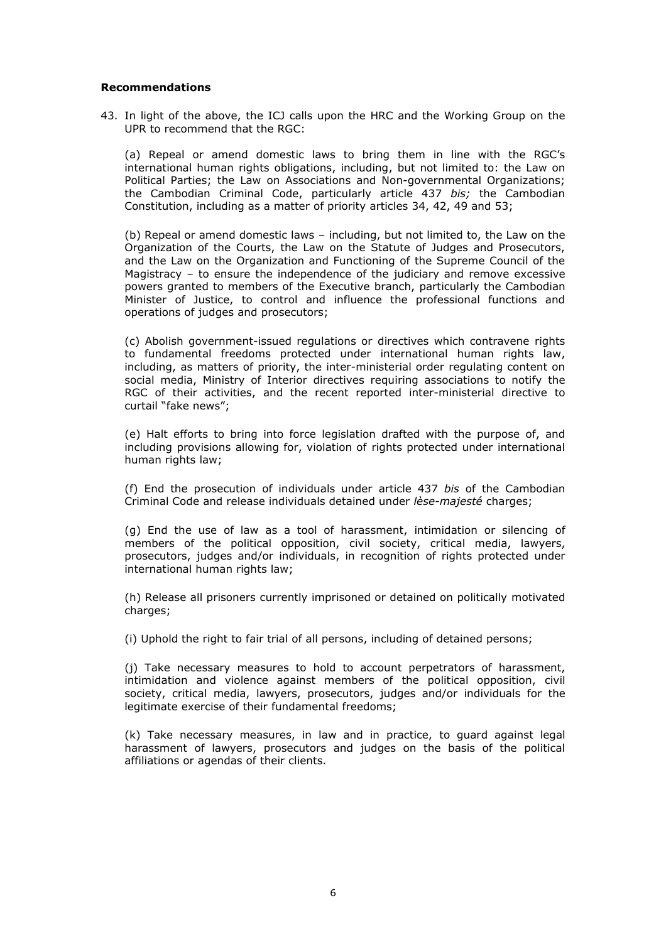## **Recommendations**

43. In light of the above, the ICJ calls upon the HRC and the Working Group on the UPR to recommend that the RGC:

(a) Repeal or amend domestic laws to bring them in line with the RGC's international human rights obligations, including, but not limited to: the Law on Political Parties; the Law on Associations and Non-governmental Organizations; the Cambodian Criminal Code, particularly article 437 *bis;* the Cambodian Constitution, including as a matter of priority articles 34, 42, 49 and 53;

(b) Repeal or amend domestic laws – including, but not limited to, the Law on the Organization of the Courts, the Law on the Statute of Judges and Prosecutors, and the Law on the Organization and Functioning of the Supreme Council of the Magistracy – to ensure the independence of the judiciary and remove excessive powers granted to members of the Executive branch, particularly the Cambodian Minister of Justice, to control and influence the professional functions and operations of judges and prosecutors;

(c) Abolish government-issued regulations or directives which contravene rights to fundamental freedoms protected under international human rights law, including, as matters of priority, the inter-ministerial order regulating content on social media, Ministry of Interior directives requiring associations to notify the RGC of their activities, and the recent reported inter-ministerial directive to curtail "fake news";

(e) Halt efforts to bring into force legislation drafted with the purpose of, and including provisions allowing for, violation of rights protected under international human rights law;

(f) End the prosecution of individuals under article 437 *bis* of the Cambodian Criminal Code and release individuals detained under *lèse-majesté* charges;

(g) End the use of law as a tool of harassment, intimidation or silencing of members of the political opposition, civil society, critical media, lawyers, prosecutors, judges and/or individuals, in recognition of rights protected under international human rights law;

(h) Release all prisoners currently imprisoned or detained on politically motivated charges;

(i) Uphold the right to fair trial of all persons, including of detained persons;

(j) Take necessary measures to hold to account perpetrators of harassment, intimidation and violence against members of the political opposition, civil society, critical media, lawyers, prosecutors, judges and/or individuals for the legitimate exercise of their fundamental freedoms;

(k) Take necessary measures, in law and in practice, to guard against legal harassment of lawyers, prosecutors and judges on the basis of the political affiliations or agendas of their clients.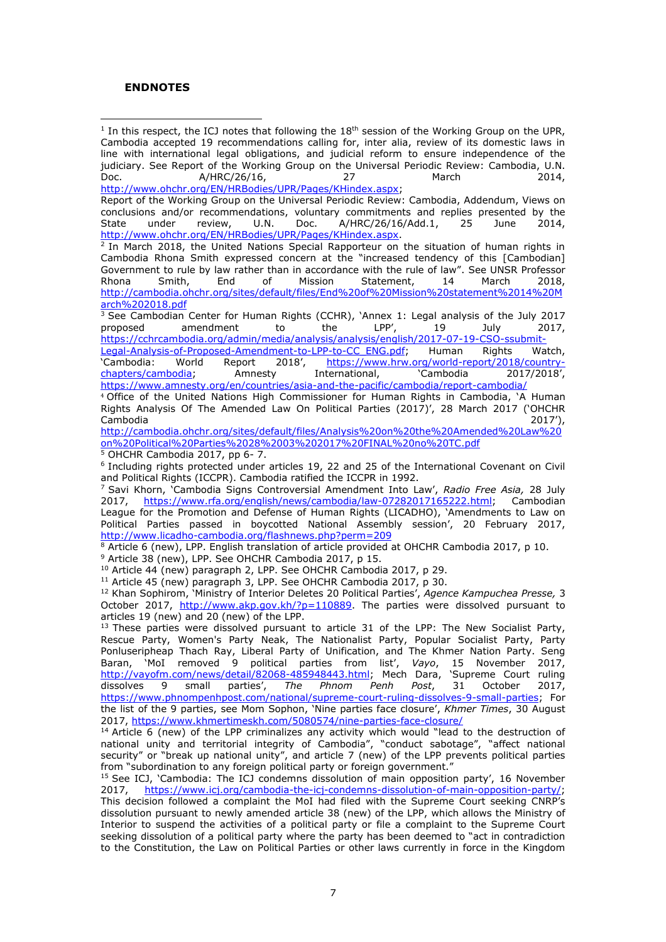## **ENDNOTES**

 $\overline{a}$  $^{\rm 1}$  In this respect, the ICJ notes that following the  $18^{\rm th}$  session of the Working Group on the UPR, Cambodia accepted 19 recommendations calling for, inter alia, review of its domestic laws in line with international legal obligations, and judicial reform to ensure independence of the judiciary. See Report of the Working Group on the Universal Periodic Review: Cambodia, U.N.<br>Doc. (16. 1776) March (2014, 2014) A/HRC/26/16, [http://www.ohchr.org/EN/HRBodies/UPR/Pages/KHindex.aspx;](http://www.ohchr.org/EN/HRBodies/UPR/Pages/KHindex.aspx)

Report of the Working Group on the Universal Periodic Review: Cambodia, Addendum, Views on conclusions and/or recommendations, voluntary commitments and replies presented by the State under review, U.N. Doc. A/HRC/26/16/Add.1, 25 June 2014, [http://www.ohchr.org/EN/HRBodies/UPR/Pages/KHindex.aspx.](http://www.ohchr.org/EN/HRBodies/UPR/Pages/KHindex.aspx)

2 In March 2018, the United Nations Special Rapporteur on the situation of human rights in Cambodia Rhona Smith expressed concern at the "increased tendency of this [Cambodian] Government to rule by law rather than in accordance with the rule of law". See UNSR Professor Rhona Smith, End of Mission Statement, 14 March 2018, [http://cambodia.ohchr.org/sites/default/files/End%20of%20Mission%20statement%2014%20M](http://cambodia.ohchr.org/sites/default/files/End%20of%20Mission%20statement%2014%20March%202018.pdf) [arch%202018.pdf](http://cambodia.ohchr.org/sites/default/files/End%20of%20Mission%20statement%2014%20March%202018.pdf)

 $\frac{3}{3}$  See Cambodian Center for Human Rights (CCHR), 'Annex 1: Legal analysis of the July 2017,<br>proposed amendment to the LPP', 19 July 2017, proposed amendment to the LPP', 19 July 2017,

https://cchrcambodia.org/admin/media/analysis/analysis/english/2017-07-19-CSO-ssubmit-<br>Legal-Analysis-of-Proposed-Amendment-to-LPP-to-CC\_ENG.pdf; Human Rights Watch, [Legal-Analysis-of-Proposed-Amendment-to-LPP-to-CC\\_ENG.pdf;](https://cchrcambodia.org/admin/media/analysis/analysis/english/2017-07-19-CSO-ssubmit-Legal-Analysis-of-Proposed-Amendment-to-LPP-to-CC_ENG.pdf)<br>
'Cambodia: World Report 2018', https://www.hrw. https://www.hrw.org/world-report/2018/country-<br>International, Cambodia 2017/2018', [chapters/cambodia](https://www.hrw.org/world-report/2018/country-chapters/cambodia); Amnesty <https://www.amnesty.org/en/countries/asia-and-the-pacific/cambodia/report-cambodia/>

<sup>4</sup> Office of the United Nations High Commissioner for Human Rights in Cambodia, 'A Human Rights Analysis Of The Amended Law On Political Parties (2017)', 28 March 2017 ('OHCHR Cambodia 2017'),

[http://cambodia.ohchr.org/sites/default/files/Analysis%20on%20the%20Amended%20Law%20](http://cambodia.ohchr.org/sites/default/files/Analysis%20on%20the%20Amended%20Law%20on%20Political%20Parties%2028%2003%202017%20FINAL%20no%20TC.pdf) [on%20Political%20Parties%2028%2003%202017%20FINAL%20no%20TC.pdf](http://cambodia.ohchr.org/sites/default/files/Analysis%20on%20the%20Amended%20Law%20on%20Political%20Parties%2028%2003%202017%20FINAL%20no%20TC.pdf) <sup>5</sup> OHCHR Cambodia 2017, pp 6- 7.

6 Including rights protected under articles 19, 22 and 25 of the International Covenant on Civil and Political Rights (ICCPR). Cambodia ratified the ICCPR in 1992.

<sup>7</sup> Savi Khorn, 'Cambodia Signs Controversial Amendment Into Law', *Radio Free Asia,* 28 July 2017, [https://www.rfa.org/english/news/cambodia/law-07282017165222.html;](https://www.rfa.org/english/news/cambodia/law-07282017165222.html) Cambodian League for the Promotion and Defense of Human Rights (LICADHO), 'Amendments to Law on Political Parties passed in boycotted National Assembly session', 20 February 2017, <http://www.licadho-cambodia.org/flashnews.php?perm=209>

 $8$  Article 6 (new), LPP. English translation of article provided at OHCHR Cambodia 2017, p 10.

<sup>9</sup> Article 38 (new), LPP. See OHCHR Cambodia 2017, p 15.

<sup>10</sup> Article 44 (new) paragraph 2, LPP. See OHCHR Cambodia 2017, p 29.

<sup>11</sup> Article 45 (new) paragraph 3, LPP. See OHCHR Cambodia 2017, p 30.

<sup>12</sup> Khan Sophirom, 'Ministry of Interior Deletes 20 Political Parties', *Agence Kampuchea Presse,* 3 October 2017, http://www.akp.gov.kh/?p=110889</u>. The parties were dissolved pursuant to articles 19 (new) and 20 (new) of the LPP.

 $13$  These parties were dissolved pursuant to article 31 of the LPP: The New Socialist Party, Rescue Party, Women's Party Neak, The Nationalist Party, Popular Socialist Party, Party Ponluseripheap Thach Ray, Liberal Party of Unification, and The Khmer Nation Party. Seng Baran, 'MoI removed 9 political parties from list', *Vayo*, 15 November 2017, [http://vayofm.com/news/detail/82068-485948443.html;](http://vayofm.com/news/detail/82068-485948443.html) Mech Dara, `Supreme Court ruling dissolves 9 small parties', *The Phnom Penh Post*, 31 October 2017, [https://www.phnompenhpost.com/national/supreme-court-ruling-dissolves-9-small-parties;](https://www.phnompenhpost.com/national/supreme-court-ruling-dissolves-9-small-parties) For the list of the 9 parties, see Mom Sophon, 'Nine parties face closure', *Khmer Times*, 30 August 2017,<https://www.khmertimeskh.com/5080574/nine-parties-face-closure/>

 $14$  Article 6 (new) of the LPP criminalizes any activity which would "lead to the destruction of national unity and territorial integrity of Cambodia", "conduct sabotage", "affect national security" or "break up national unity", and article 7 (new) of the LPP prevents political parties from "subordination to any foreign political party or foreign government."

<sup>15</sup> See ICJ, 'Cambodia: The ICJ condemns dissolution of main opposition party', 16 November 2017, [https://www.icj.org/cambodia-the-icj-condemns-dissolution-of-main-opposition-party/;](https://www.icj.org/cambodia-the-icj-condemns-dissolution-of-main-opposition-party/) This decision followed a complaint the MoI had filed with the Supreme Court seeking CNRP's dissolution pursuant to newly amended article 38 (new) of the LPP, which allows the Ministry of Interior to suspend the activities of a political party or file a complaint to the Supreme Court seeking dissolution of a political party where the party has been deemed to "act in contradiction to the Constitution, the Law on Political Parties or other laws currently in force in the Kingdom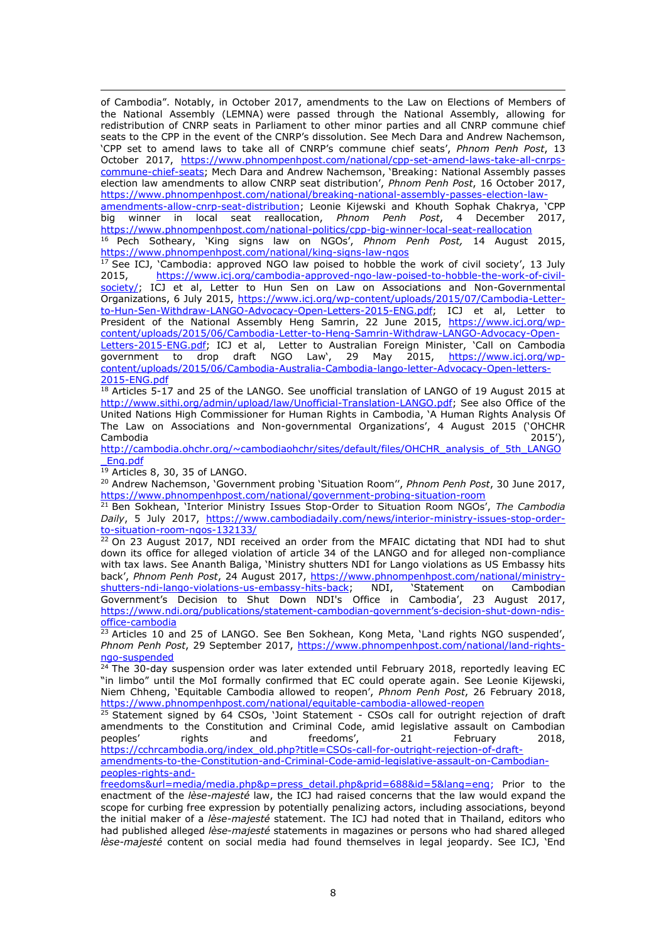$\overline{a}$ of Cambodia". Notably, in October 2017, amendments to the Law on Elections of Members of the National Assembly (LEMNA) were passed through the National Assembly, allowing for redistribution of CNRP seats in Parliament to other minor parties and all CNRP commune chief seats to the CPP in the event of the CNRP's dissolution. See Mech Dara and Andrew Nachemson, 'CPP set to amend laws to take all of CNRP's commune chief seats', *Phnom Penh Post*, 13 October 2017, [https://www.phnompenhpost.com/national/cpp-set-amend-laws-take-all-cnrps](https://www.phnompenhpost.com/national/cpp-set-amend-laws-take-all-cnrps-commune-chief-seats)[commune-chief-seats](https://www.phnompenhpost.com/national/cpp-set-amend-laws-take-all-cnrps-commune-chief-seats); Mech Dara and Andrew Nachemson, 'Breaking: National Assembly passes election law amendments to allow CNRP seat distribution', *Phnom Penh Post*, 16 October 2017, [https://www.phnompenhpost.com/national/breaking-national-assembly-passes-election-law](https://www.phnompenhpost.com/national/breaking-national-assembly-passes-election-law-amendments-allow-cnrp-seat-distribution)[amendments-allow-cnrp-seat-distribution](https://www.phnompenhpost.com/national/breaking-national-assembly-passes-election-law-amendments-allow-cnrp-seat-distribution); Leonie Kijewski and Khouth Sophak Chakrya, 'CPP big winner in local seat reallocation, *Phnom Penh Post*, 4 December 2017, <https://www.phnompenhpost.com/national-politics/cpp-big-winner-local-seat-reallocation> <sup>16</sup> Pech Sotheary, 'King signs law on NGOs', *Phnom Penh Post,* 14 August 2015, <https://www.phnompenhpost.com/national/king-signs-law-ngos>

<sup>17</sup> See ICJ, 'Cambodia: approved NGO law poised to hobble the work of civil society', 13 July 2015, https://www.icj.org/cambodia-approved-ngo-law-poised-to-hobble-the-work-of-civil[https://www.icj.org/cambodia-approved-ngo-law-poised-to-hobble-the-work-of-civil](https://www.icj.org/cambodia-approved-ngo-law-poised-to-hobble-the-work-of-civil-society/)[society/;](https://www.icj.org/cambodia-approved-ngo-law-poised-to-hobble-the-work-of-civil-society/) ICJ et al, Letter to Hun Sen on Law on Associations and Non-Governmental Organizations, 6 July 2015, [https://www.icj.org/wp-content/uploads/2015/07/Cambodia-Letter](https://www.icj.org/wp-content/uploads/2015/07/Cambodia-Letter-to-Hun-Sen-Withdraw-LANGO-Advocacy-Open-Letters-2015-ENG.pdf)[to-Hun-Sen-Withdraw-LANGO-Advocacy-Open-Letters-2015-ENG.pdf;](https://www.icj.org/wp-content/uploads/2015/07/Cambodia-Letter-to-Hun-Sen-Withdraw-LANGO-Advocacy-Open-Letters-2015-ENG.pdf) ICJ et al, Letter to President of the National Assembly Heng Samrin, 22 June 2015, [https://www.icj.org/wp](https://www.icj.org/wp-content/uploads/2015/06/Cambodia-Letter-to-Heng-Samrin-Withdraw-LANGO-Advocacy-Open-Letters-2015-ENG.pdf)[content/uploads/2015/06/Cambodia-Letter-to-Heng-Samrin-Withdraw-LANGO-Advocacy-Open-](https://www.icj.org/wp-content/uploads/2015/06/Cambodia-Letter-to-Heng-Samrin-Withdraw-LANGO-Advocacy-Open-Letters-2015-ENG.pdf)[Letters-2015-ENG.pdf;](https://www.icj.org/wp-content/uploads/2015/06/Cambodia-Letter-to-Heng-Samrin-Withdraw-LANGO-Advocacy-Open-Letters-2015-ENG.pdf) ICJ et al, Letter to Australian Foreign Minister, 'Call on Cambodia government to drop draft NGO Law', 29 May 2015, [https://www.icj.org/wp](https://www.icj.org/wp-content/uploads/2015/06/Cambodia-Australia-Cambodia-lango-letter-Advocacy-Open-letters-2015-ENG.pdf)[content/uploads/2015/06/Cambodia-Australia-Cambodia-lango-letter-Advocacy-Open-letters-](https://www.icj.org/wp-content/uploads/2015/06/Cambodia-Australia-Cambodia-lango-letter-Advocacy-Open-letters-2015-ENG.pdf)[2015-ENG.pdf](https://www.icj.org/wp-content/uploads/2015/06/Cambodia-Australia-Cambodia-lango-letter-Advocacy-Open-letters-2015-ENG.pdf)

 $18$  Articles 5-17 and 25 of the LANGO. See unofficial translation of LANGO of 19 August 2015 at [http://www.sithi.org/admin/upload/law/Unofficial-Translation-LANGO.pdf;](http://www.sithi.org/admin/upload/law/Unofficial-Translation-LANGO.pdf) See also Office of the United Nations High Commissioner for Human Rights in Cambodia, 'A Human Rights Analysis Of The Law on Associations and Non-governmental Organizations', 4 August 2015 ('OHCHR Cambodia 2015'),

[http://cambodia.ohchr.org/~cambodiaohchr/sites/default/files/OHCHR\\_analysis\\_of\\_5th\\_LANGO](http://cambodia.ohchr.org/~cambodiaohchr/sites/default/files/OHCHR_analysis_of_5th_LANGO_Eng.pdf) [\\_Eng.pdf](http://cambodia.ohchr.org/~cambodiaohchr/sites/default/files/OHCHR_analysis_of_5th_LANGO_Eng.pdf)

<sup>19</sup> Articles 8, 30, 35 of LANGO.

<sup>20</sup> Andrew Nachemson, 'Government probing 'Situation Room'', *Phnom Penh Post*, 30 June 2017, <https://www.phnompenhpost.com/national/government-probing-situation-room>

<sup>21</sup> Ben Sokhean, 'Interior Ministry Issues Stop-Order to Situation Room NGOs', *The Cambodia Daily*, 5 July 2017, [https://www.cambodiadaily.com/news/interior-ministry-issues-stop-order](https://www.cambodiadaily.com/news/interior-ministry-issues-stop-order-to-situation-room-ngos-132133/)[to-situation-room-ngos-132133/](https://www.cambodiadaily.com/news/interior-ministry-issues-stop-order-to-situation-room-ngos-132133/)

 $22$  On 23 August 2017, NDI received an order from the MFAIC dictating that NDI had to shut down its office for alleged violation of article 34 of the LANGO and for alleged non-compliance with tax laws. See Ananth Baliga, 'Ministry shutters NDI for Lango violations as US Embassy hits back', *Phnom Penh Post*, 24 August 2017, [https://www.phnompenhpost.com/national/ministry](https://www.phnompenhpost.com/national/ministry-shutters-ndi-lango-violations-us-embassy-hits-back)[shutters-ndi-lango-violations-us-embassy-hits-back](https://www.phnompenhpost.com/national/ministry-shutters-ndi-lango-violations-us-embassy-hits-back); NDI, 'Statement on Cambodian Government's Decision to Shut Down NDI's Office in Cambodia', 23 August 2017, [https://www.ndi.org/publications/statement-cambodian-](https://www.ndi.org/publications/statement-cambodian-government)government's-decision-shut-down-ndis[office-cambodia](https://www.ndi.org/publications/statement-cambodian-government)

 $^{23}$  Articles 10 and 25 of LANGO. See Ben Sokhean, Kong Meta, `Land rights NGO suspended', *Phnom Penh Post*, 29 September 2017, [https://www.phnompenhpost.com/national/land-rights](https://www.phnompenhpost.com/national/land-rights-ngo-suspended)[ngo-suspended](https://www.phnompenhpost.com/national/land-rights-ngo-suspended)

 $24$  The 30-day suspension order was later extended until February 2018, reportedly leaving EC "in limbo" until the MoI formally confirmed that EC could operate again. See Leonie Kijewski, Niem Chheng, 'Equitable Cambodia allowed to reopen', *Phnom Penh Post*, 26 February 2018, <https://www.phnompenhpost.com/national/equitable-cambodia-allowed-reopen>

 $25$  Statement signed by 64 CSOs, 'Joint Statement - CSOs call for outright rejection of draft amendments to the Constitution and Criminal Code, amid legislative assault on Cambodian peoples' rights and freedoms', 21 February 2018, peoples' rights and freedoms', 21 February 2018, [https://cchrcambodia.org/index\\_old.php?title=CSOs-call-for-outright-rejection-of-draft](https://cchrcambodia.org/index_old.php?title=CSOs-call-for-outright-rejection-of-draft-amendments-to-the-Constitution-and-Criminal-Code-amid-legislative-assault-on-Cambodian-peoples-rights-and-freedoms&url=media/media.php&p=press_detail.php&prid=688&id=5&lang=eng)[amendments-to-the-Constitution-and-Criminal-Code-amid-legislative-assault-on-Cambodian](https://cchrcambodia.org/index_old.php?title=CSOs-call-for-outright-rejection-of-draft-amendments-to-the-Constitution-and-Criminal-Code-amid-legislative-assault-on-Cambodian-peoples-rights-and-freedoms&url=media/media.php&p=press_detail.php&prid=688&id=5&lang=eng)[peoples-rights-and-](https://cchrcambodia.org/index_old.php?title=CSOs-call-for-outright-rejection-of-draft-amendments-to-the-Constitution-and-Criminal-Code-amid-legislative-assault-on-Cambodian-peoples-rights-and-freedoms&url=media/media.php&p=press_detail.php&prid=688&id=5&lang=eng)

[freedoms&url=media/media.php&p=press\\_detail.php&prid=688&id=5&lang=eng;](https://cchrcambodia.org/index_old.php?title=CSOs-call-for-outright-rejection-of-draft-amendments-to-the-Constitution-and-Criminal-Code-amid-legislative-assault-on-Cambodian-peoples-rights-and-freedoms&url=media/media.php&p=press_detail.php&prid=688&id=5&lang=eng) Prior to the enactment of the *lèse-majesté* law, the ICJ had raised concerns that the law would expand the scope for curbing free expression by potentially penalizing actors, including associations, beyond the initial maker of a *lèse-majesté* statement. The ICJ had noted that in Thailand, editors who had published alleged *lèse-majesté* statements in magazines or persons who had shared alleged *lèse-majesté* content on social media had found themselves in legal jeopardy. See ICJ, 'End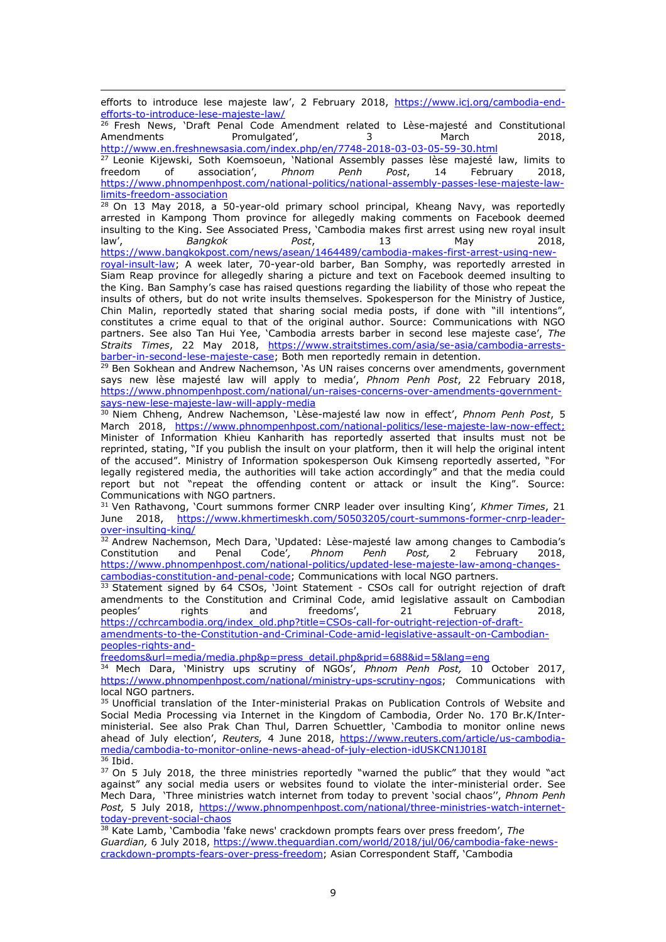$\overline{a}$ efforts to introduce lese majeste law', 2 February 2018, [https://www.icj.org/cambodia-end](https://www.icj.org/cambodia-end-efforts-to-introduce-lese-majeste-law/)[efforts-to-introduce-lese-majeste-law/](https://www.icj.org/cambodia-end-efforts-to-introduce-lese-majeste-law/) 

<sup>26</sup> Fresh News, 'Draft Penal Code Amendment related to Lèse-majesté and Constitutional Amendments Promulgated', 3 March 2018,

<http://www.en.freshnewsasia.com/index.php/en/7748-2018-03-03-05-59-30.html> <sup>27</sup> Leonie Kijewski, Soth Koemsoeun, `National Assembly passes lèse majesté law, limits to freedom of association', *Phnom Penh Post*, 14 February 2018, [https://www.phnompenhpost.com/national-politics/national-assembly-passes-lese-majeste-law](https://www.phnompenhpost.com/national-politics/national-assembly-passes-lese-majeste-law-limits-freedom-association)[limits-freedom-association](https://www.phnompenhpost.com/national-politics/national-assembly-passes-lese-majeste-law-limits-freedom-association)

 $28$  On 13 May 2018, a 50-year-old primary school principal, Kheang Navy, was reportedly arrested in Kampong Thom province for allegedly making comments on Facebook deemed insulting to the King. See Associated Press, 'Cambodia makes first arrest using new royal insult law', *Bangkok Post*, 13 May 2018, [https://www.bangkokpost.com/news/asean/1464489/cambodia-makes-first-arrest-using-new-](https://www.bangkokpost.com/news/asean/1464489/cambodia-makes-first-arrest-using-new-royal-insult-law)

[royal-insult-law;](https://www.bangkokpost.com/news/asean/1464489/cambodia-makes-first-arrest-using-new-royal-insult-law) A week later, 70-year-old barber, Ban Somphy, was reportedly arrested in Siam Reap province for allegedly sharing a picture and text on Facebook deemed insulting to the King. Ban Samphy's case has raised questions regarding the liability of those who repeat the insults of others, but do not write insults themselves. Spokesperson for the Ministry of Justice, Chin Malin, reportedly stated that sharing social media posts, if done with "ill intentions", constitutes a crime equal to that of the original author. Source: Communications with NGO partners. See also Tan Hui Yee, 'Cambodia arrests barber in second lese majeste case', *The Straits Times*, 22 May 2018, [https://www.straitstimes.com/asia/se-asia/cambodia-arrests](https://www.straitstimes.com/asia/se-asia/cambodia-arrests-barber-in-second-lese-majeste-case)[barber-in-second-lese-majeste-case;](https://www.straitstimes.com/asia/se-asia/cambodia-arrests-barber-in-second-lese-majeste-case) Both men reportedly remain in detention.

<sup>29</sup> Ben Sokhean and Andrew Nachemson, `As UN raises concerns over amendments, government says new lèse majesté law will apply to media', *Phnom Penh Post*, 22 February 2018, [https://www.phnompenhpost.com/national/un-raises-concerns-over-amendments-government](https://www.phnompenhpost.com/national/un-raises-concerns-over-amendments-government-says-new-lese-majeste-law-will-apply-media)[says-new-lese-majeste-law-will-apply-media](https://www.phnompenhpost.com/national/un-raises-concerns-over-amendments-government-says-new-lese-majeste-law-will-apply-media)

<sup>30</sup> Niem Chheng, Andrew Nachemson, 'Lèse-majesté law now in effect', *Phnom Penh Post*, 5 March 2018, [https://www.phnompenhpost.com/national-politics/lese-majeste-law-now-effect;](https://www.phnompenhpost.com/national-politics/lese-majeste-law-now-effect) Minister of Information Khieu Kanharith has reportedly asserted that insults must not be reprinted, stating, "If you publish the insult on your platform, then it will help the original intent of the accused". Ministry of Information spokesperson Ouk Kimseng reportedly asserted, "For legally registered media, the authorities will take action accordingly" and that the media could report but not "repeat the offending content or attack or insult the King". Source: Communications with NGO partners.

<sup>31</sup> Ven Rathavong, 'Court summons former CNRP leader over insulting King', *Khmer Times*, 21 June 2018, [https://www.khmertimeskh.com/50503205/court-summons-former-cnrp-leader](https://www.khmertimeskh.com/50503205/court-summons-former-cnrp-leader-over-insulting-king/)[over-insulting-king/](https://www.khmertimeskh.com/50503205/court-summons-former-cnrp-leader-over-insulting-king/)

32 Andrew Nachemson, Mech Dara, 'Updated: Lèse-majesté law among changes to Cambodia's Constitution and Penal Code'*, Phnom Penh Post,* 2 February 2018, [https://www.phnompenhpost.com/national-politics/updated-lese-majeste-law-among-changes](https://www.phnompenhpost.com/national-politics/updated-lese-majeste-law-among-changes-cambodias-constitution-and-penal-code)[cambodias-constitution-and-penal-code;](https://www.phnompenhpost.com/national-politics/updated-lese-majeste-law-among-changes-cambodias-constitution-and-penal-code) Communications with local NGO partners.

<sup>33</sup> Statement signed by 64 CSOs, 'Joint Statement - CSOs call for outright rejection of draft amendments to the Constitution and Criminal Code, amid legislative assault on Cambodian peoples' rights and freedoms', 21 February 2018, rights and freedoms', 21 February 2018, [https://cchrcambodia.org/index\\_old.php?title=CSOs-call-for-outright-rejection-of-draft](https://cchrcambodia.org/index_old.php?title=CSOs-call-for-outright-rejection-of-draft-amendments-to-the-Constitution-and-Criminal-Code-amid-legislative-assault-on-Cambodian-peoples-rights-and-freedoms&url=media/media.php&p=press_detail.php&prid=688&id=5&lang=eng)[amendments-to-the-Constitution-and-Criminal-Code-amid-legislative-assault-on-Cambodian](https://cchrcambodia.org/index_old.php?title=CSOs-call-for-outright-rejection-of-draft-amendments-to-the-Constitution-and-Criminal-Code-amid-legislative-assault-on-Cambodian-peoples-rights-and-freedoms&url=media/media.php&p=press_detail.php&prid=688&id=5&lang=eng)[peoples-rights-and-](https://cchrcambodia.org/index_old.php?title=CSOs-call-for-outright-rejection-of-draft-amendments-to-the-Constitution-and-Criminal-Code-amid-legislative-assault-on-Cambodian-peoples-rights-and-freedoms&url=media/media.php&p=press_detail.php&prid=688&id=5&lang=eng)

[freedoms&url=media/media.php&p=press\\_detail.php&prid=688&id=5&lang=eng](https://cchrcambodia.org/index_old.php?title=CSOs-call-for-outright-rejection-of-draft-amendments-to-the-Constitution-and-Criminal-Code-amid-legislative-assault-on-Cambodian-peoples-rights-and-freedoms&url=media/media.php&p=press_detail.php&prid=688&id=5&lang=eng)

<sup>34</sup> Mech Dara, 'Ministry ups scrutiny of NGOs', *Phnom Penh Post,* 10 October 2017, [https://www.phnompenhpost.com/national/ministry-ups-scrutiny-ngos;](https://www.phnompenhpost.com/national/ministry-ups-scrutiny-ngos) Communications with local NGO partners.

<sup>35</sup> Unofficial translation of the Inter-ministerial Prakas on Publication Controls of Website and Social Media Processing via Internet in the Kingdom of Cambodia, Order No. 170 Br.K/Interministerial. See also Prak Chan Thul, Darren Schuettler, 'Cambodia to monitor online news ahead of July election', *Reuters,* 4 June 2018, [https://www.reuters.com/article/us-cambodia](https://www.reuters.com/article/us-cambodia-media/cambodia-to-monitor-online-news-ahead-of-july-election-idUSKCN1J018I)[media/cambodia-to-monitor-online-news-ahead-of-july-election-idUSKCN1J018I](https://www.reuters.com/article/us-cambodia-media/cambodia-to-monitor-online-news-ahead-of-july-election-idUSKCN1J018I)  $36$  Ibid.

<sup>37</sup> On 5 July 2018, the three ministries reportedly "warned the public" that they would "act against" any social media users or websites found to violate the inter-ministerial order. See Mech Dara, 'Three ministries watch internet from today to prevent 'social chaos'', *Phnom Penh Post,* 5 July 2018, [https://www.phnompenhpost.com/national/three-ministries-watch-internet](https://www.phnompenhpost.com/national/three-ministries-watch-internet-today-prevent-social-chaos)[today-prevent-social-chaos](https://www.phnompenhpost.com/national/three-ministries-watch-internet-today-prevent-social-chaos)

<sup>38</sup> Kate Lamb, 'Cambodia 'fake news' crackdown prompts fears over press freedom', *The Guardian,* 6 July 2018, [https://www.theguardian.com/world/2018/jul/06/cambodia-fake-news](https://www.theguardian.com/world/2018/jul/06/cambodia-fake-news-crackdown-prompts-fears-over-press-freedom)[crackdown-prompts-fears-over-press-freedom](https://www.theguardian.com/world/2018/jul/06/cambodia-fake-news-crackdown-prompts-fears-over-press-freedom); Asian Correspondent Staff, 'Cambodia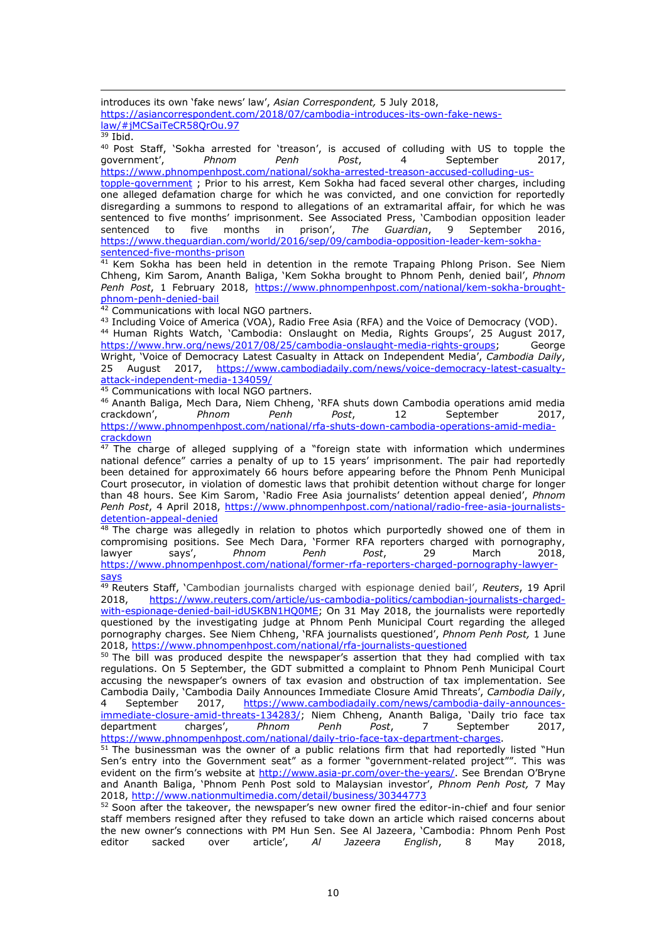$\overline{a}$ introduces its own 'fake news' law', *Asian Correspondent,* 5 July 2018, [https://asiancorrespondent.com/2018/07/cambodia-introduces-its-own-fake-news](https://asiancorrespondent.com/2018/07/cambodia-introduces-its-own-fake-news-law/#jMCSaiTeCR58QrOu.97)[law/#jMCSaiTeCR58QrOu.97](https://asiancorrespondent.com/2018/07/cambodia-introduces-its-own-fake-news-law/#jMCSaiTeCR58QrOu.97) 

 $39$  Ibid.

<sup>40</sup> Post Staff, 'Sokha arrested for 'treason', is accused of colluding with US to topple the qovernment',  $P_{\text{th}}$  Phnom  $P_{\text{th}}$  Post,  $P_{\text{th}}$  September 2017, government', *Phnom Penh Post*, 4 September 2017, [https://www.phnompenhpost.com/national/sokha-arrested-treason-accused-colluding-us-](https://www.phnompenhpost.com/national/sokha-arrested-treason-accused-colluding-us-topple-government)

[topple-government](https://www.phnompenhpost.com/national/sokha-arrested-treason-accused-colluding-us-topple-government) ; Prior to his arrest, Kem Sokha had faced several other charges, including one alleged defamation charge for which he was convicted, and one conviction for reportedly disregarding a summons to respond to allegations of an extramarital affair, for which he was sentenced to five months' imprisonment. See Associated Press, 'Cambodian opposition leader sentenced to five months in prison', The Guardian, 9 September 2016, sentenced to five months [https://www.theguardian.com/world/2016/sep/09/cambodia-opposition-leader-kem-sokha](https://www.theguardian.com/world/2016/sep/09/cambodia-opposition-leader-kem-sokha-sentenced-five-months-prison)[sentenced-five-months-prison](https://www.theguardian.com/world/2016/sep/09/cambodia-opposition-leader-kem-sokha-sentenced-five-months-prison)

 $41$  Kem Sokha has been held in detention in the remote Trapaing Phlong Prison. See Niem Chheng, Kim Sarom, Ananth Baliga, 'Kem Sokha brought to Phnom Penh, denied bail', *Phnom Penh Post*, 1 February 2018, [https://www.phnompenhpost.com/national/kem-sokha-brought](https://www.phnompenhpost.com/national/kem-sokha-brought-phnom-penh-denied-bail)[phnom-penh-denied-bail](https://www.phnompenhpost.com/national/kem-sokha-brought-phnom-penh-denied-bail)

<sup>42</sup> Communications with local NGO partners.

43 Including Voice of America (VOA), Radio Free Asia (RFA) and the Voice of Democracy (VOD). <sup>44</sup> Human Rights Watch, 'Cambodia: Onslaught on Media, Rights Groups', 25 August 2017, [https://www.hrw.org/news/2017/08/25/cambodia-onslaught-media-rights-groups;](https://www.hrw.org/news/2017/08/25/cambodia-onslaught-media-rights-groups) George Wright, 'Voice of Democracy Latest Casualty in Attack on Independent Media', *Cambodia Daily*, 25 August 2017, [https://www.cambodiadaily.com/news/voice-democracy-latest-casualty](https://www.cambodiadaily.com/news/voice-democracy-latest-casualty-attack-independent-media-134059/)[attack-independent-media-134059/](https://www.cambodiadaily.com/news/voice-democracy-latest-casualty-attack-independent-media-134059/)

45 Communications with local NGO partners.

<sup>46</sup> [Ananth Baliga,](http://www.phnompenhpost.com/author/ananth-baliga/77661) [Mech Dara,](http://www.phnompenhpost.com/author/mech-dara/88757) [Niem Chheng](http://www.phnompenhpost.com/author/niem-chheng/89434), 'RFA shuts down Cambodia operations amid media crackdown'. <br>crackdown'. Phnom Penh Post, 12 September 2017, crackdown', [https://www.phnompenhpost.com/national/rfa-shuts-down-cambodia-operations-amid-media](https://www.phnompenhpost.com/national/rfa-shuts-down-cambodia-operations-amid-media-crackdown)<u>[crackdown](https://www.phnompenhpost.com/national/rfa-shuts-down-cambodia-operations-amid-media-crackdown)</u>

<sup>47</sup> The charge of alleged supplying of a "foreign state with information which undermines national defence" carries a penalty of up to 15 years' imprisonment. The pair had reportedly been detained for approximately 66 hours before appearing before the Phnom Penh Municipal Court prosecutor, in violation of domestic laws that prohibit detention without charge for longer than 48 hours. See Kim Sarom, 'Radio Free Asia journalists' detention appeal denied', *Phnom*  Penh Post, 4 April 2018, [https://www.phnompenhpost.com/national/radio-free-asia-journalists](https://www.phnompenhpost.com/national/radio-free-asia-journalists-detention-appeal-denied)[detention-appeal-denied](https://www.phnompenhpost.com/national/radio-free-asia-journalists-detention-appeal-denied)

<sup>48</sup> The charge was allegedly in relation to photos which purportedly showed one of them in compromising positions. See Mech Dara, 'Former RFA reporters charged with pornography, lawyer says', *Phnom Penh Post*, 29 March 2018, [https://www.phnompenhpost.com/national/former-rfa-reporters-charged-pornography-lawyer](https://www.phnompenhpost.com/national/former-rfa-reporters-charged-pornography-lawyer-says)[says](https://www.phnompenhpost.com/national/former-rfa-reporters-charged-pornography-lawyer-says)

<sup>49</sup> Reuters Staff, 'Cambodian journalists charged with espionage denied bail', *Reuters*, 19 April 2018, [https://www.reuters.com/article/us-cambodia-politics/cambodian-journalists-charged](https://www.reuters.com/article/us-cambodia-politics/cambodian-journalists-charged-with-espionage-denied-bail-idUSKBN1HQ0ME)[with-espionage-denied-bail-idUSKBN1HQ0ME;](https://www.reuters.com/article/us-cambodia-politics/cambodian-journalists-charged-with-espionage-denied-bail-idUSKBN1HQ0ME) On 31 May 2018, the journalists were reportedly questioned by the investigating judge at Phnom Penh Municipal Court regarding the alleged pornography charges. See Niem Chheng, 'RFA journalists questioned', *Phnom Penh Post,* 1 June 2018,<https://www.phnompenhpost.com/national/rfa-journalists-questioned>

<sup>50</sup> The bill was produced despite the newspaper's assertion that they had complied with tax regulations. On 5 September, the GDT submitted a complaint to Phnom Penh Municipal Court accusing the newspaper's owners of tax evasion and obstruction of tax implementation. See Cambodia Daily, 'Cambodia Daily Announces Immediate Closure Amid Threats', *Cambodia Daily*, 4 September 2017, [https://www.cambodiadaily.com/news/cambodia-daily-announces-](https://www.cambodiadaily.com/news/cambodia-daily-announces-immediate-closure-amid-threats-134283/)

[immediate-closure-amid-threats-134283/;](https://www.cambodiadaily.com/news/cambodia-daily-announces-immediate-closure-amid-threats-134283/) Niem Chheng, Ananth Baliga, 'Daily trio face tax department charges', *Phnom Penh Post*, 7 September 2017, [https://www.phnompenhpost.com/national/daily-trio-face-tax-department-charges.](https://www.phnompenhpost.com/national/daily-trio-face-tax-department-charges)

 $51$  The businessman was the owner of a public relations firm that had reportedly listed "Hun Sen's entry into the Government seat" as a former "government-related project"". This was evident on the firm's website at <http://www.asia-pr.com/over-the-years/>. See Brendan O'Bryne and Ananth Baliga, 'Phnom Penh Post sold to Malaysian investor', *Phnom Penh Post,* 7 May 2018,<http://www.nationmultimedia.com/detail/business/30344773>

 $52$  Soon after the takeover, the newspaper's new owner fired the editor-in-chief and four senior staff members resigned after they refused to take down an article which raised concerns about the new owner's connections with PM Hun Sen. See Al Jazeera, 'Cambodia: Phnom Penh Post editor sacked over article', *Al Jazeera English*, 8 May 2018,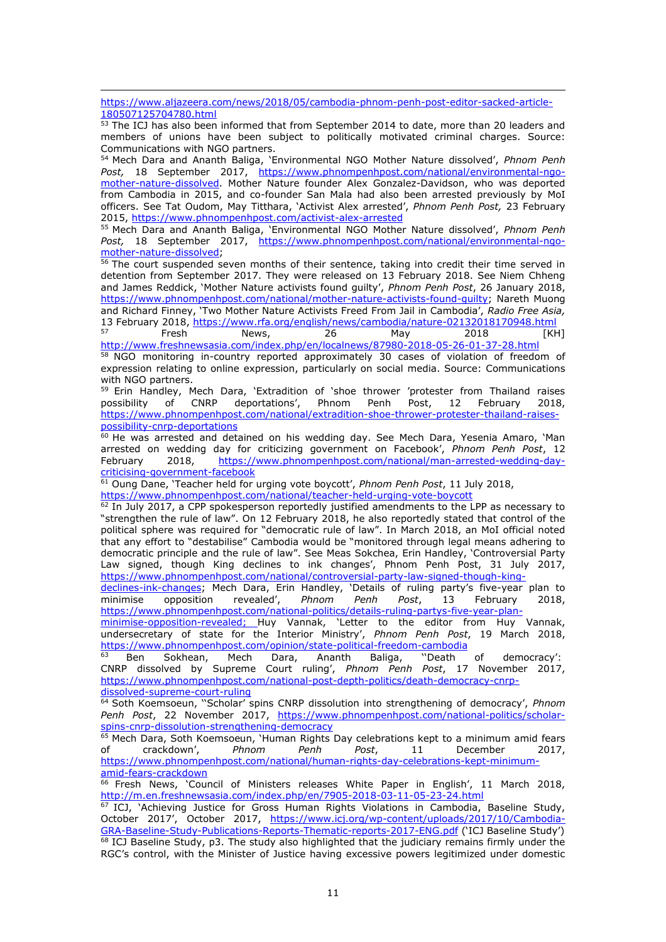$\overline{a}$ [https://www.aljazeera.com/news/2018/05/cambodia-phnom-penh-post-editor-sacked-article-](https://www.aljazeera.com/news/2018/05/cambodia-phnom-penh-post-editor-sacked-article-180507125704780.html)[180507125704780.html](https://www.aljazeera.com/news/2018/05/cambodia-phnom-penh-post-editor-sacked-article-180507125704780.html)

53 The ICJ has also been informed that from September 2014 to date, more than 20 leaders and members of unions have been subject to politically motivated criminal charges. Source: Communications with NGO partners.

<sup>54</sup> Mech Dara and Ananth Baliga, 'Environmental NGO Mother Nature dissolved', *Phnom Penh Post,* 18 September 2017, [https://www.phnompenhpost.com/national/environmental-ngo](https://www.phnompenhpost.com/national/environmental-ngo-mother-nature-dissolved)[mother-nature-dissolved.](https://www.phnompenhpost.com/national/environmental-ngo-mother-nature-dissolved) Mother Nature founder Alex Gonzalez-Davidson, who was deported from Cambodia in 2015, and co-founder San Mala had also been arrested previously by MoI officers. See Tat Oudom, May Titthara, 'Activist Alex arrested', *Phnom Penh Post,* 23 February 2015,<https://www.phnompenhpost.com/activist-alex-arrested>

<sup>55</sup> Mech Dara and Ananth Baliga, 'Environmental NGO Mother Nature dissolved', *Phnom Penh Post,* 18 September 2017, [https://www.phnompenhpost.com/national/environmental-ngo](https://www.phnompenhpost.com/national/environmental-ngo-mother-nature-dissolved)[mother-nature-dissolved;](https://www.phnompenhpost.com/national/environmental-ngo-mother-nature-dissolved)

<sup>56</sup> The court suspended seven months of their sentence, taking into credit their time served in detention from September 2017. They were released on 13 February 2018. See Niem Chheng and James Reddick, 'Mother Nature activists found guilty', *Phnom Penh Post*, 26 January 2018, [https://www.phnompenhpost.com/national/mother-nature-activists-found-guilty;](https://www.phnompenhpost.com/national/mother-nature-activists-found-guilty) Nareth Muong and Richard Finney, 'Two Mother Nature Activists Freed From Jail in Cambodia', *Radio Free Asia,* 13 February 2018,<https://www.rfa.org/english/news/cambodia/nature-02132018170948.html><br>Fresh News, 26 May 2018 [KH]

<sup>57</sup> Fresh News, 26 May 2018 [KH] <http://www.freshnewsasia.com/index.php/en/localnews/87980-2018-05-26-01-37-28.html>

<sup>58</sup> NGO monitoring in-country reported approximately 30 cases of violation of freedom of expression relating to online expression, particularly on social media. Source: Communications with NGO partners.

 $59$  Erin Handley, Mech Dara, 'Extradition of 'shoe thrower 'protester from Thailand raises possibility of CNRP deportations', Phnom Penh Post, 12 February 2018, possibility of CNRP deportations', Phnom Penh Post, 12 [https://www.phnompenhpost.com/national/extradition-shoe-thrower-protester-thailand-raises](https://www.phnompenhpost.com/national/extradition-shoe-thrower-protester-thailand-raises-possibility-cnrp-deportations)[possibility-cnrp-deportations](https://www.phnompenhpost.com/national/extradition-shoe-thrower-protester-thailand-raises-possibility-cnrp-deportations)

<sup>60</sup> He was arrested and detained on his wedding day. See Mech Dara, Yesenia Amaro, 'Man arrested on wedding day for criticizing government on Facebook', *Phnom Penh Post*, 12 February 2018, [https://www.phnompenhpost.com/national/man-arrested-wedding-day](https://www.phnompenhpost.com/national/man-arrested-wedding-day-criticising-government-facebook)[criticising-government-facebook](https://www.phnompenhpost.com/national/man-arrested-wedding-day-criticising-government-facebook)

<sup>61</sup> Oung Dane, 'Teacher held for urging vote boycott', *Phnom Penh Post*, 11 July 2018, <https://www.phnompenhpost.com/national/teacher-held-urging-vote-boycott>

 $62$  In July 2017, a CPP spokesperson reportedly justified amendments to the LPP as necessary to "strengthen the rule of law". On 12 February 2018, he also reportedly stated that control of the political sphere was required for "democratic rule of law". In March 2018, an MoI official noted that any effort to "destabilise" Cambodia would be "monitored through legal means adhering to democratic principle and the rule of law". See Meas Sokchea, Erin Handley, 'Controversial Party Law signed, though King declines to ink changes', Phnom Penh Post, 31 July 2017, [https://www.phnompenhpost.com/national/controversial-party-law-signed-though-king-](https://www.phnompenhpost.com/national/controversial-party-law-signed-though-king-declines-ink-changes)

[declines-ink-changes](https://www.phnompenhpost.com/national/controversial-party-law-signed-though-king-declines-ink-changes); Mech Dara, Erin Handley, 'Details of ruling party's five-year plan to minimise opposition revealed', *Phnom Penh Post*, 13 February 2018, [https://www.phnompenhpost.com/national-politics/details-ruling-partys-five-year-plan-](https://www.phnompenhpost.com/national-politics/details-ruling-partys-five-year-plan-minimise-opposition-revealed)

[minimise-opposition-revealed;](https://www.phnompenhpost.com/national-politics/details-ruling-partys-five-year-plan-minimise-opposition-revealed) Huy Vannak, 'Letter to the editor from Huy Vannak, undersecretary of state for the Interior Ministry', *Phnom Penh Post*, 19 March 2018, <https://www.phnompenhpost.com/opinion/state-political-freedom-cambodia><sup>63</sup> Ben Sokhean, Mech Dara, Ananth Baliga, "Death

<sup>63</sup> Ben Sokhean, Mech Dara, Ananth Baliga, ''Death of democracy': CNRP dissolved by Supreme Court ruling', *Phnom Penh Post*, 17 November 2017, [https://www.phnompenhpost.com/national-post-depth-politics/death-democracy-cnrp](https://www.phnompenhpost.com/national-post-depth-politics/death-democracy-cnrp-dissolved-supreme-court-ruling)[dissolved-supreme-court-ruling](https://www.phnompenhpost.com/national-post-depth-politics/death-democracy-cnrp-dissolved-supreme-court-ruling)

<sup>64</sup> Soth Koemsoeun, ''Scholar' spins CNRP dissolution into strengthening of democracy', *Phnom Penh Post*, 22 November 2017, [https://www.phnompenhpost.com/national-politics/scholar](https://www.phnompenhpost.com/national-politics/scholar-spins-cnrp-dissolution-strengthening-democracy)[spins-cnrp-dissolution-strengthening-democracy](https://www.phnompenhpost.com/national-politics/scholar-spins-cnrp-dissolution-strengthening-democracy)

<sup>65</sup> Mech Dara, Soth Koemsoeun, `Human Rights Day celebrations kept to a minimum amid fears of crackdown', *Phnom Penh Post*, 11 December 2017, [https://www.phnompenhpost.com/national/human-rights-day-celebrations-kept-minimum](https://www.phnompenhpost.com/national/human-rights-day-celebrations-kept-minimum-amid-fears-crackdown)[amid-fears-crackdown](https://www.phnompenhpost.com/national/human-rights-day-celebrations-kept-minimum-amid-fears-crackdown)

66 Fresh News, 'Council of Ministers releases White Paper in English', 11 March 2018, <http://m.en.freshnewsasia.com/index.php/en/7905-2018-03-11-05-23-24.html>

<sup>67</sup> ICJ, 'Achieving Justice for Gross Human Rights Violations in Cambodia, Baseline Study, October 2017', October 2017, [https://www.icj.org/wp-content/uploads/2017/10/Cambodia-](https://www.icj.org/wp-content/uploads/2017/10/Cambodia-GRA-Baseline-Study-Publications-Reports-Thematic-reports-2017-ENG.pdf)[GRA-Baseline-Study-Publications-Reports-Thematic-reports-2017-ENG.pdf](https://www.icj.org/wp-content/uploads/2017/10/Cambodia-GRA-Baseline-Study-Publications-Reports-Thematic-reports-2017-ENG.pdf) ('ICJ Baseline Study') <sup>68</sup> ICJ Baseline Study, p3. The study also highlighted that the judiciary remains firmly under the RGC's control, with the Minister of Justice having excessive powers legitimized under domestic